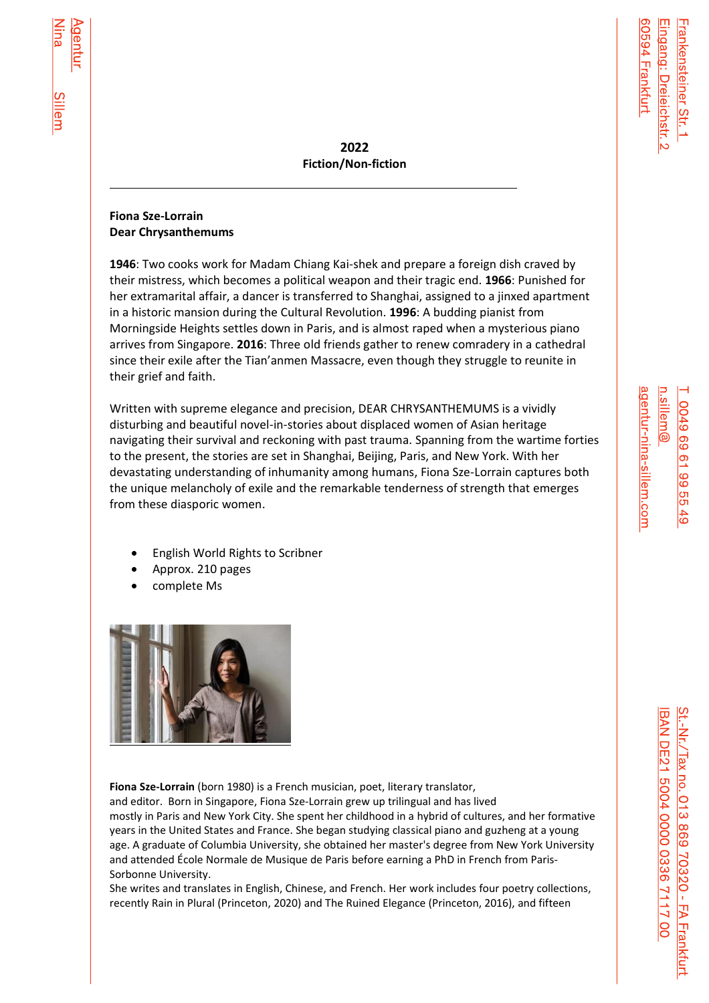**2022 Fiction/Non-fiction**

## **Fiona Sze-Lorrain Dear Chrysanthemums**

**1946**: Two cooks work for Madam Chiang Kai-shek and prepare a foreign dish craved by their mistress, which becomes a political weapon and their tragic end. **1966**: Punished for her extramarital affair, a dancer is transferred to Shanghai, assigned to a jinxed apartment in a historic mansion during the Cultural Revolution. **1996**: A budding pianist from Morningside Heights settles down in Paris, and is almost raped when a mysterious piano arrives from Singapore. **2016**: Three old friends gather to renew comradery in a cathedral since their exile after the Tian'anmen Massacre, even though they struggle to reunite in their grief and faith.

Written with supreme elegance and precision, DEAR CHRYSANTHEMUMS is a vividly disturbing and beautiful novel-in-stories about displaced women of Asian heritage navigating their survival and reckoning with past trauma. Spanning from the wartime forties to the present, the stories are set in Shanghai, Beijing, Paris, and New York. With her devastating understanding of inhumanity among humans, Fiona Sze-Lorrain captures both the unique melancholy of exile and the remarkable tenderness of strength that emerges from these diasporic women.

- English World Rights to Scribner
- Approx. 210 pages
- complete Ms



**Fiona Sze-Lorrain** (born 1980) is a French musician, poet, literary translator,

and editor. Born in [Singapore,](https://en.wikipedia.org/wiki/Singapore) Fiona Sze-Lorrain grew up trilingual and has lived mostly in [Paris](https://en.wikipedia.org/wiki/Paris) and [New York City.](https://en.wikipedia.org/wiki/New_York_City) She spent her childhood in a hybrid of cultures, and her formative years in the United States and [France.](https://en.wikipedia.org/wiki/France) She began studying [classical piano](https://en.wikipedia.org/wiki/Piano) and [guzheng](https://en.wikipedia.org/wiki/Guzheng) at a young age. A graduate of [Columbia University,](https://en.wikipedia.org/wiki/Columbia_University) she obtained her [master's degree](https://en.wikipedia.org/wiki/Master%27s_degree) from New York University and attended [École Normale de Musique de Paris](https://en.wikipedia.org/wiki/%C3%89cole_Normale_de_Musique_de_Paris) before earning a [PhD](https://en.wikipedia.org/wiki/PhD) in [French](https://en.wikipedia.org/wiki/French_language) from [Paris-](https://en.wikipedia.org/wiki/Paris-Sorbonne_University)[Sorbonne University.](https://en.wikipedia.org/wiki/Paris-Sorbonne_University)

She writes and translates in English, Chinese, and French. Her work includes four poetry collections, recently Rain in Plural (Princeton, 2020) and The Ruined Elegance (Princeton, 2016), and fifteen

Eingang: Dreieichstr 0594 Frankfurt

rankensteiner Str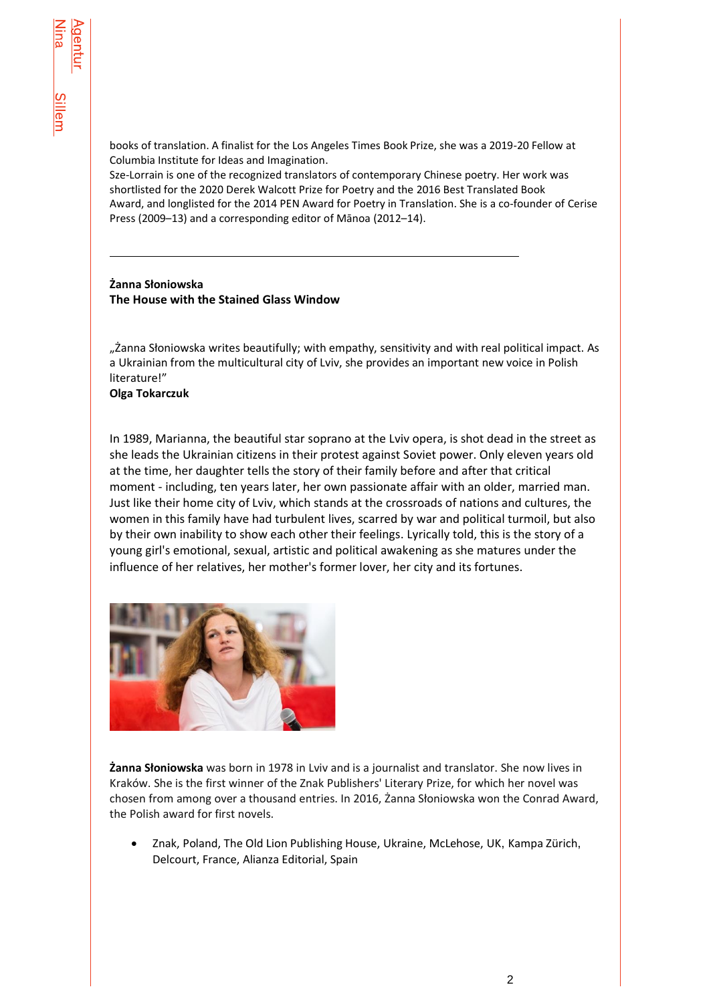books of translation. A finalist for the Los Angeles Times Book Prize, she was a 2019-20 Fellow at Columbia Institute for Ideas and Imagination.

Sze-Lorrain is one of the recognized translators of contemporary Chinese poetry. Her work was shortlisted for the 2020 [Derek Walcott](https://en.wikipedia.org/wiki/Derek_Walcott) Prize for Poetry and the 2016 [Best Translated Book](https://en.wikipedia.org/wiki/Best_Translated_Book_Award)  [Award,](https://en.wikipedia.org/wiki/Best_Translated_Book_Award) and longlisted for the 2014 [PEN Award for Poetry in Translation.](https://en.wikipedia.org/wiki/PEN_Award_for_Poetry_in_Translation) She is a co-founder of Cerise Press (2009–13) and a corresponding editor of [Mānoa](https://en.wikipedia.org/wiki/Manoa_(journal)) (2012–14).

### **Żanna Słoniowska The House with the Stained Glass Window**

"Żanna Słoniowska writes beautifully; with empathy, sensitivity and with real political impact. As a Ukrainian from the multicultural city of Lviv, she provides an important new voice in Polish literature!"

**Olga Tokarczuk**

In 1989, Marianna, the beautiful star soprano at the Lviv opera, is shot dead in the street as she leads the Ukrainian citizens in their protest against Soviet power. Only eleven years old at the time, her daughter tells the story of their family before and after that critical moment - including, ten years later, her own passionate affair with an older, married man. Just like their home city of Lviv, which stands at the crossroads of nations and cultures, the women in this family have had turbulent lives, scarred by war and political turmoil, but also by their own inability to show each other their feelings. Lyrically told, this is the story of a young girl's emotional, sexual, artistic and political awakening as she matures under the influence of her relatives, her mother's former lover, her city and its fortunes.



**Żanna Słoniowska** was born in 1978 in Lviv and is a journalist and translator. She now lives in Kraków. She is the first winner of the Znak Publishers' Literary Prize, for which her novel was chosen from among over a thousand entries. In 2016, Żanna Słoniowska won the Conrad Award, the Polish award for first novels.

• Znak, Poland, The Old Lion Publishing House, Ukraine, McLehose, UK, Kampa Zürich, Delcourt, France, Alianza Editorial, Spain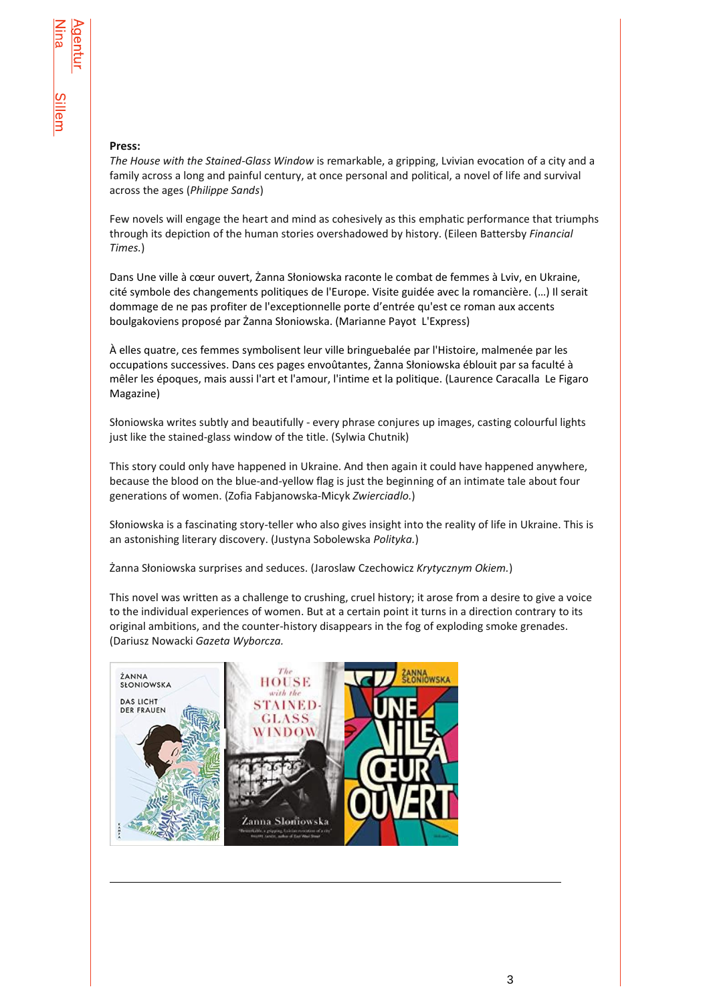#### **Press:**

*The House with the Stained-Glass Window* is remarkable, a gripping, Lvivian evocation of a city and a family across a long and painful century, at once personal and political, a novel of life and survival across the ages (*Philippe Sands*)

Few novels will engage the heart and mind as cohesively as this emphatic performance that triumphs through its depiction of the human stories overshadowed by history. (Eileen Battersby *Financial Times.*)

Dans Une ville à cœur ouvert, Żanna Słoniowska raconte le combat de femmes à Lviv, en Ukraine, cité symbole des changements politiques de l'Europe. Visite guidée avec la romancière. (…) Il serait dommage de ne pas profiter de l'exceptionnelle porte d'entrée qu'est ce roman aux accents boulgakoviens proposé par Żanna Słoniowska. (Marianne PayotL'Express)

À elles quatre, ces femmes symbolisent leur ville bringuebalée par l'Histoire, malmenée par les occupations successives. Dans ces pages envoûtantes, Żanna Słoniowska éblouit par sa faculté à mêler les époques, mais aussi l'art et l'amour, l'intime et la politique. (Laurence CaracallaLe Figaro Magazine)

Słoniowska writes subtly and beautifully - every phrase conjures up images, casting colourful lights just like the stained-glass window of the title. (Sylwia Chutnik)

This story could only have happened in Ukraine. And then again it could have happened anywhere, because the blood on the blue-and-yellow flag is just the beginning of an intimate tale about four generations of women. (Zofia Fabjanowska-Micyk *Zwierciadlo.*)

Słoniowska is a fascinating story-teller who also gives insight into the reality of life in Ukraine. This is an astonishing literary discovery. (Justyna Sobolewska *Polityka.*)

Żanna Słoniowska surprises and seduces. (Jaroslaw Czechowicz *Krytycznym Okiem.*)

This novel was written as a challenge to crushing, cruel history; it arose from a desire to give a voice to the individual experiences of women. But at a certain point it turns in a direction contrary to its original ambitions, and the counter-history disappears in the fog of exploding smoke grenades. (Dariusz Nowacki *Gazeta Wyborcza.*



l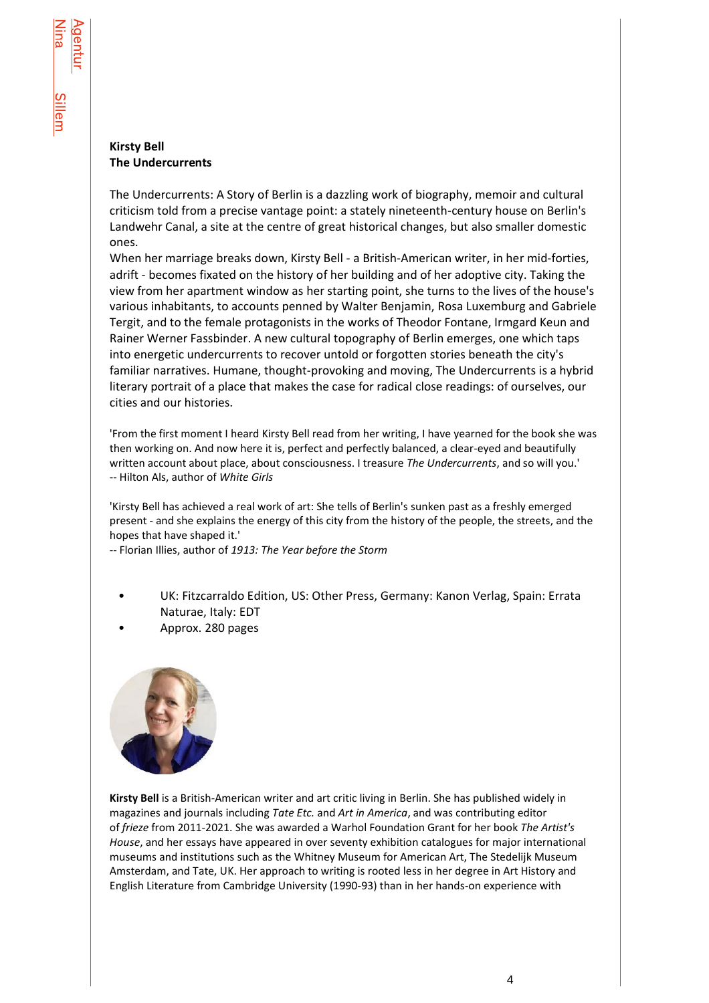### **Kirsty Bell The Undercurrents**

The Undercurrents: A Story of Berlin is a dazzling work of biography, memoir and cultural criticism told from a precise vantage point: a stately nineteenth-century house on Berlin's Landwehr Canal, a site at the centre of great historical changes, but also smaller domestic ones.

When her marriage breaks down, Kirsty Bell - a British-American writer, in her mid-forties, adrift - becomes fixated on the history of her building and of her adoptive city. Taking the view from her apartment window as her starting point, she turns to the lives of the house's various inhabitants, to accounts penned by Walter Benjamin, Rosa Luxemburg and Gabriele Tergit, and to the female protagonists in the works of Theodor Fontane, Irmgard Keun and Rainer Werner Fassbinder. A new cultural topography of Berlin emerges, one which taps into energetic undercurrents to recover untold or forgotten stories beneath the city's familiar narratives. Humane, thought-provoking and moving, The Undercurrents is a hybrid literary portrait of a place that makes the case for radical close readings: of ourselves, our cities and our histories.

'From the first moment I heard Kirsty Bell read from her writing, I have yearned for the book she was then working on. And now here it is, perfect and perfectly balanced, a clear-eyed and beautifully written account about place, about consciousness. I treasure *The Undercurrents*, and so will you.' -- Hilton Als, author of *White Girls*

'Kirsty Bell has achieved a real work of art: She tells of Berlin's sunken past as a freshly emerged present - and she explains the energy of this city from the history of the people, the streets, and the hopes that have shaped it.'

-- Florian Illies, author of *1913: The Year before the Storm*

- UK: Fitzcarraldo Edition, US: Other Press, Germany: Kanon Verlag, Spain: Errata Naturae, Italy: EDT
- Approx. 280 pages



**Kirsty Bell** is a British-American writer and art critic living in Berlin. She has published widely in magazines and journals including *Tate Etc.* and *Art in America*, and was contributing editor of *frieze* from 2011-2021. She was awarded a Warhol Foundation Grant for her book *The Artist's House*, and her essays have appeared in over seventy exhibition catalogues for major international museums and institutions such as the Whitney Museum for American Art, The Stedelijk Museum Amsterdam, and Tate, UK. Her approach to writing is rooted less in her degree in Art History and English Literature from Cambridge University (1990-93) than in her hands-on experience with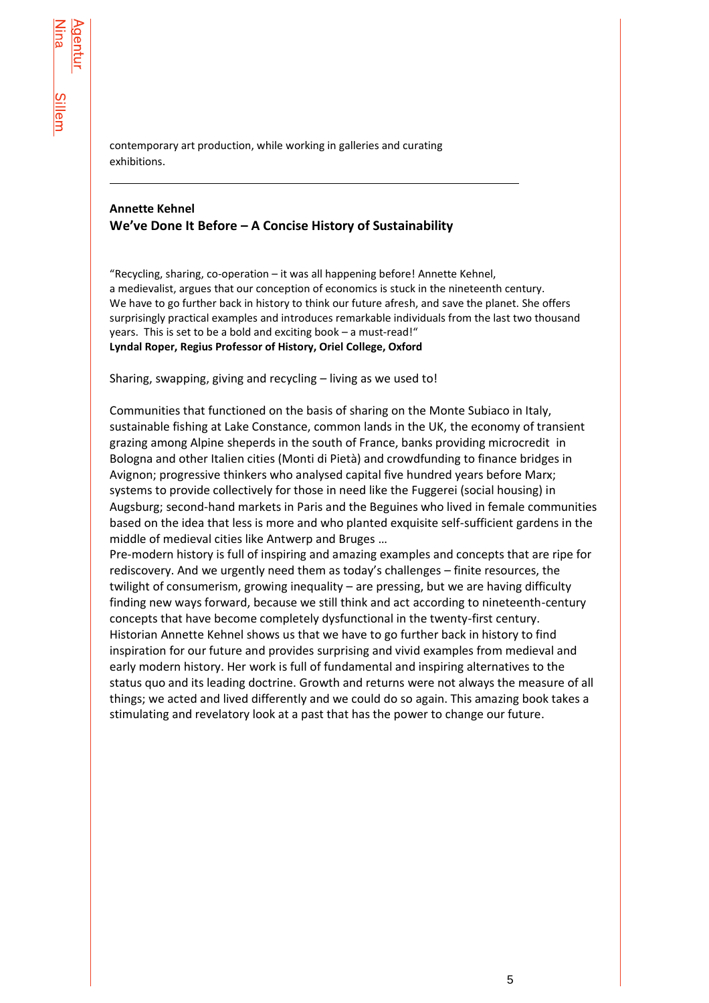l

contemporary art production, while working in galleries and curating exhibitions.

# **Annette Kehnel We've Done It Before – A Concise History of Sustainability**

"Recycling, sharing, co-operation – it was all happening before! Annette Kehnel, a medievalist, argues that our conception of economics is stuck in the nineteenth century. We have to go further back in history to think our future afresh, and save the planet. She offers surprisingly practical examples and introduces remarkable individuals from the last two thousand years. This is set to be a bold and exciting book – a must-read!" **Lyndal Roper, Regius Professor of History, Oriel College, Oxford**

Sharing, swapping, giving and recycling – living as we used to!

Communities that functioned on the basis of sharing on the Monte Subiaco in Italy, sustainable fishing at Lake Constance, common lands in the UK, the economy of transient grazing among Alpine sheperds in the south of France, banks providing microcredit in Bologna and other Italien cities (Monti di Pietà) and crowdfunding to finance bridges in Avignon; progressive thinkers who analysed capital five hundred years before Marx; systems to provide collectively for those in need like the Fuggerei (social housing) in Augsburg; second-hand markets in Paris and the Beguines who lived in female communities based on the idea that less is more and who planted exquisite self-sufficient gardens in the middle of medieval cities like Antwerp and Bruges …

Pre-modern history is full of inspiring and amazing examples and concepts that are ripe for rediscovery. And we urgently need them as today's challenges – finite resources, the twilight of consumerism, growing inequality – are pressing, but we are having difficulty finding new ways forward, because we still think and act according to nineteenth-century concepts that have become completely dysfunctional in the twenty-first century. Historian Annette Kehnel shows us that we have to go further back in history to find inspiration for our future and provides surprising and vivid examples from medieval and early modern history. Her work is full of fundamental and inspiring alternatives to the status quo and its leading doctrine. Growth and returns were not always the measure of all things; we acted and lived differently and we could do so again. This amazing book takes a stimulating and revelatory look at a past that has the power to change our future.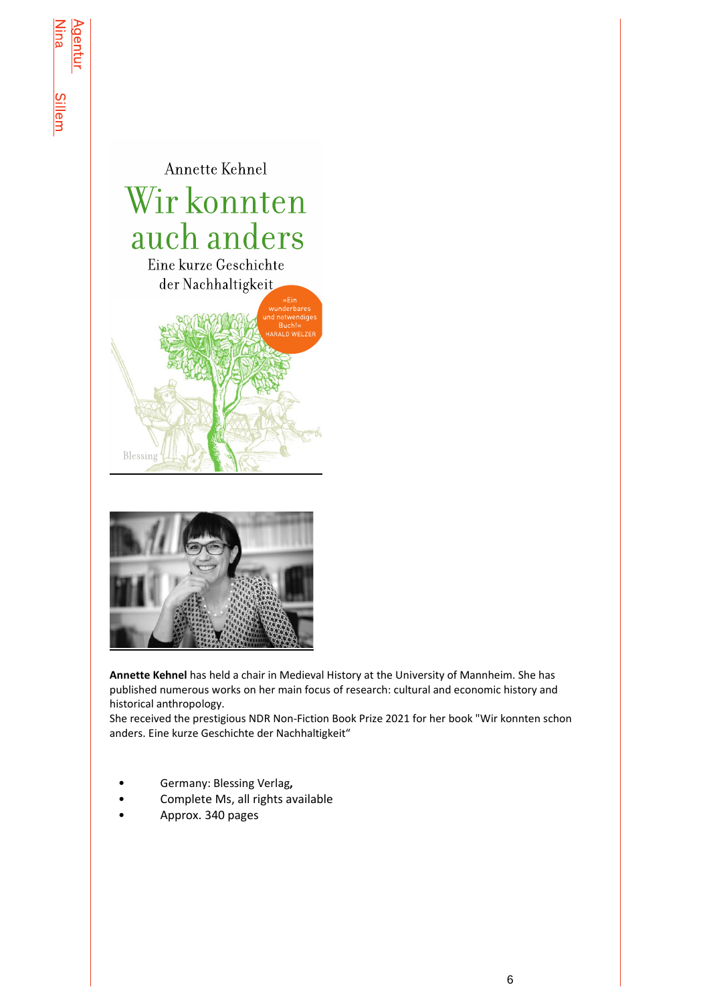



**Annette Kehnel** has held a chair in Medieval History at the University of Mannheim. She has published numerous works on her main focus of research: cultural and economic history and historical anthropology.

She received the prestigious NDR Non-Fiction Book Prize 2021 for her book "Wir konnten schon anders. Eine kurze Geschichte der Nachhaltigkeit"

- Germany: Blessing Verlag**,**
- Complete Ms, all rights available
- Approx. 340 pages